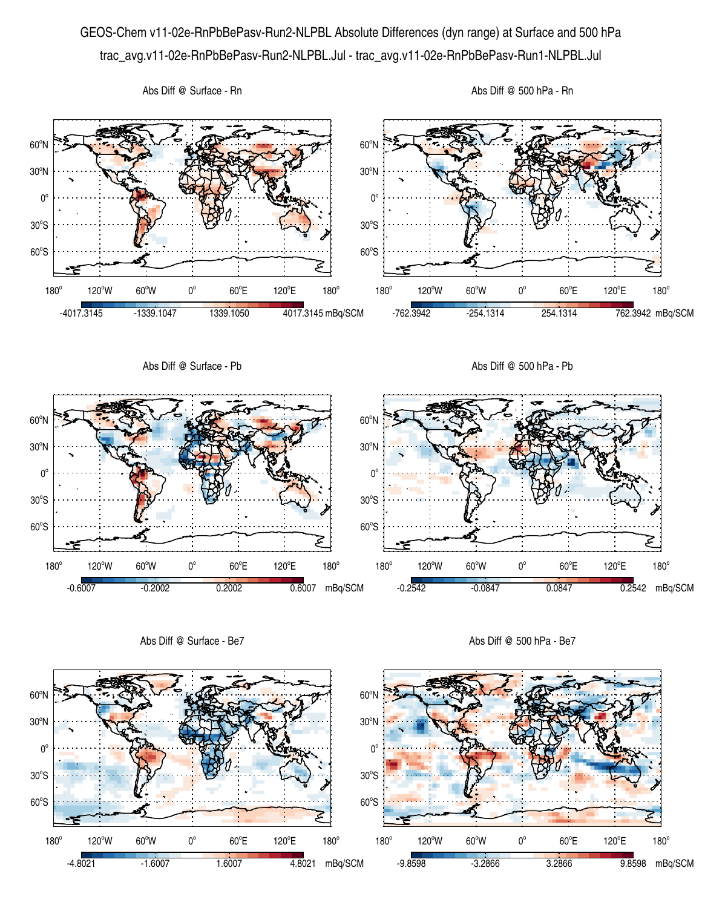## GEOS-Chem v11-02e-RnPbBePasv-Run2-NLPBL Absolute Differences (dyn range) at Surface and 500 hPa trac\_avg.v11-02e-RnPbBePasv-Run2-NLPBL.Jul - trac\_avg.v11-02e-RnPbBePasv-Run1-NLPBL.Jul



Abs Diff @ Surface - Be7

Abs Diff @ 500 hPa - Be7